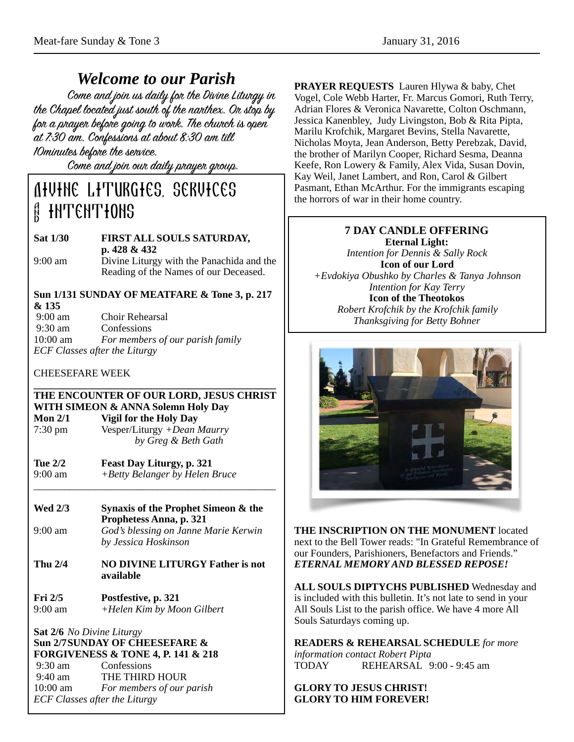*Welcome to our Parish* the Chapel located just south of the nanthex. On stop by for a prayer before going to work. The church is open at 7:30 am. Confessions at about 8:30 am till 10minutes before the service.

Come and join our daily prayer group.

# Divine Liturgies, services **HNTENTHONS**

#### **Sat 1/30 FIRST ALL SOULS SATURDAY, p. 428 & 432**  9:00 am Divine Liturgy with the Panachida and the Reading of the Names of our Deceased.

## **Sun 1/131 SUNDAY OF MEATFARE & Tone 3, p. 217 & 135**

| $9:00 \text{ am}$                    | Choir Rehearsal                  |
|--------------------------------------|----------------------------------|
| $9:30$ am                            | Confessions                      |
| $10:00 \text{ am}$                   | For members of our parish family |
| <b>ECF Classes after the Liturgy</b> |                                  |

### CHEESEFARE WEEK

#### **\_\_\_\_\_\_\_\_\_\_\_\_\_\_\_\_\_\_\_\_\_\_\_\_\_\_\_\_\_\_\_\_\_\_\_\_\_\_\_\_\_\_\_\_\_\_\_ THE ENCOUNTER OF OUR LORD, JESUS CHRIST WITH SIMEON & ANNA Solemn Holy Day Mon 2/1 Vigil for the Holy Day**  7:30 pm Vesper/Liturgy *+Dean Maurry by Greg & Beth Gath*

- **Tue 2/2 Feast Day Liturgy, p. 321**  9:00 am *+Betty Belanger by Helen Bruce \_\_\_\_\_\_\_\_\_\_\_\_\_\_\_\_\_\_\_\_\_\_\_\_\_\_\_\_\_\_\_\_\_\_\_\_\_\_\_\_\_\_\_\_\_\_\_*
- **Wed 2/3 Synaxis of the Prophet Simeon & the Prophetess Anna, p. 321**  9:00 am *God's blessing on Janne Marie Kerwin by Jessica Hoskinson*
- **Thu 2/4 NO DIVINE LITURGY Father is not available**
- **Fri 2/5 Postfestive, p. 321**<br>9:00 am + *Helen Kim by Mo* 9:00 am *+Helen Kim by Moon Gilbert*

#### **Sat 2/6** *No Divine Liturgy* **Sun 2/7 SUNDAY OF CHEESEFARE & FORGIVENESS & TONE 4, P. 141 & 218** 9:30 am Confessions 9:40 am THE THIRD HOUR 10:00 am *For members of our parish ECF Classes after the Liturgy*

**PRAYER REQUESTS** Lauren Hlywa & baby, Chet Vogel, Cole Webb Harter, Fr. Marcus Gomori, Ruth Terry, Adrian Flores & Veronica Navarette, Colton Oschmann, Jessica Kanenbley, Judy Livingston, Bob & Rita Pipta, Marilu Krofchik, Margaret Bevins, Stella Navarette, Nicholas Moyta, Jean Anderson, Betty Perebzak, David, the brother of Marilyn Cooper, Richard Sesma, Deanna Keefe, Ron Lowery & Family, Alex Vida, Susan Dovin, Kay Weil, Janet Lambert, and Ron, Carol & Gilbert Pasmant, Ethan McArthur. For the immigrants escaping the horrors of war in their home country.

#### **7 DAY CANDLE OFFERING Eternal Light:**

*Intention for Dennis & Sally Rock*  **Icon of our Lord**  *+Evdokiya Obushko by Charles & Tanya Johnson Intention for Kay Terry*  **Icon of the Theotokos**  *Robert Krofchik by the Krofchik family Thanksgiving for Betty Bohner*



**THE INSCRIPTION ON THE MONUMENT** located next to the Bell Tower reads: "In Grateful Remembrance of our Founders, Parishioners, Benefactors and Friends." *ETERNAL MEMORY AND BLESSED REPOSE!* 

**ALL SOULS DIPTYCHS PUBLISHED** Wednesday and is included with this bulletin. It's not late to send in your All Souls List to the parish office. We have 4 more All Souls Saturdays coming up.

#### **READERS & REHEARSAL SCHEDULE** *for more*

*information contact Robert Pipta* TODAY REHEARSAL 9:00 - 9:45 am

#### **GLORY TO JESUS CHRIST! GLORY TO HIM FOREVER!**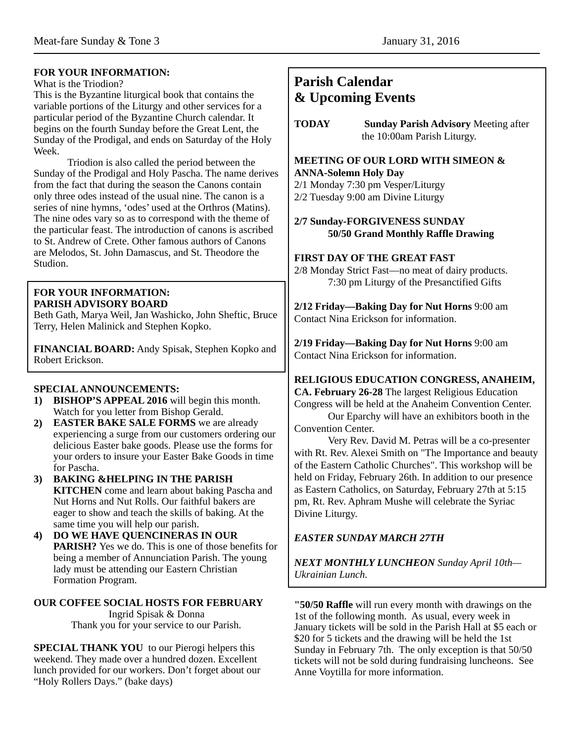#### **FOR YOUR INFORMATION:**

#### What is the Triodion?

This is the Byzantine liturgical book that contains the variable portions of the Liturgy and other services for a particular period of the Byzantine Church calendar. It begins on the fourth Sunday before the Great Lent, the Sunday of the Prodigal, and ends on Saturday of the Holy Week.

 Triodion is also called the period between the Sunday of the Prodigal and Holy Pascha. The name derives from the fact that during the season the Canons contain only three odes instead of the usual nine. The canon is a series of nine hymns, 'odes' used at the Orthros (Matins). The nine odes vary so as to correspond with the theme of the particular feast. The introduction of canons is ascribed to St. Andrew of Crete. Other famous authors of Canons are Melodos, St. John Damascus, and St. Theodore the Studion.

#### **FOR YOUR INFORMATION: PARISH ADVISORY BOARD**

Beth Gath, Marya Weil, Jan Washicko, John Sheftic, Bruce Terry, Helen Malinick and Stephen Kopko.

**FINANCIAL BOARD:** Andy Spisak, Stephen Kopko and Robert Erickson.

#### **SPECIAL ANNOUNCEMENTS:**

- **1) BISHOP'S APPEAL 2016** will begin this month. Watch for you letter from Bishop Gerald.
- **2) EASTER BAKE SALE FORMS** we are already experiencing a surge from our customers ordering our delicious Easter bake goods. Please use the forms for your orders to insure your Easter Bake Goods in time for Pascha.
- **3) BAKING &HELPING IN THE PARISH KITCHEN** come and learn about baking Pascha and Nut Horns and Nut Rolls. Our faithful bakers are eager to show and teach the skills of baking. At the same time you will help our parish.
- **4) DO WE HAVE QUENCINERAS IN OUR PARISH?** Yes we do. This is one of those benefits for being a member of Annunciation Parish. The young lady must be attending our Eastern Christian Formation Program.

# **OUR COFFEE SOCIAL HOSTS FOR FEBRUARY**

Ingrid Spisak & Donna Thank you for your service to our Parish.

**SPECIAL THANK YOU** to our Pierogi helpers this weekend. They made over a hundred dozen. Excellent lunch provided for our workers. Don't forget about our "Holy Rollers Days." (bake days)

# **Parish Calendar & Upcoming Events**

**TODAY Sunday Parish Advisory** Meeting after the 10:00am Parish Liturgy.

#### **MEETING OF OUR LORD WITH SIMEON & ANNA-Solemn Holy Day**

2/1 Monday 7:30 pm Vesper/Liturgy 2/2 Tuesday 9:00 am Divine Liturgy

#### **2/7 Sunday-FORGIVENESS SUNDAY 50/50 Grand Monthly Raffle Drawing**

#### **FIRST DAY OF THE GREAT FAST**

2/8 Monday Strict Fast—no meat of dairy products. 7:30 pm Liturgy of the Presanctified Gifts

**2/12 Friday—Baking Day for Nut Horns** 9:00 am Contact Nina Erickson for information.

**2/19 Friday—Baking Day for Nut Horns** 9:00 am Contact Nina Erickson for information.

#### **RELIGIOUS EDUCATION CONGRESS, ANAHEIM,**

**CA. February 26-28** The largest Religious Education Congress will be held at the Anaheim Convention Center. Our Eparchy will have an exhibitors booth in the

Convention Center.

Very Rev. David M. Petras will be a co-presenter with Rt. Rev. Alexei Smith on "The Importance and beauty of the Eastern Catholic Churches". This workshop will be held on Friday, February 26th. In addition to our presence as Eastern Catholics, on Saturday, February 27th at 5:15 pm, Rt. Rev. Aphram Mushe will celebrate the Syriac Divine Liturgy.

### *EASTER SUNDAY MARCH 27TH*

*NEXT MONTHLY LUNCHEON Sunday April 10th— Ukrainian Lunch.*

**"50/50 Raffle** will run every month with drawings on the 1st of the following month. As usual, every week in January tickets will be sold in the Parish Hall at \$5 each or \$20 for 5 tickets and the drawing will be held the 1st Sunday in February 7th. The only exception is that 50/50 tickets will not be sold during fundraising luncheons. See Anne Voytilla for more information.